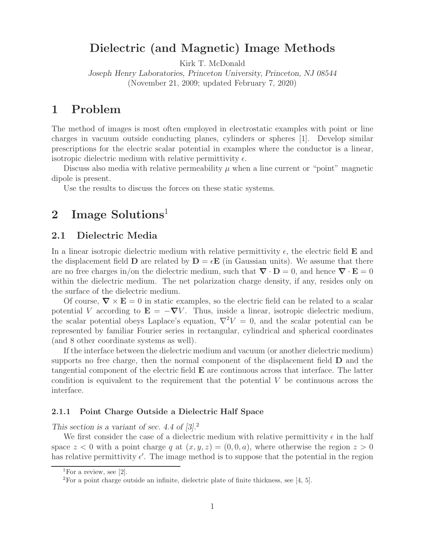# **Dielectric (and Magnetic) Image Methods**

Kirk T. McDonald

*Joseph Henry Laboratories, Princeton University, Princeton, NJ 08544* (November 21, 2009; updated February 7, 2020)

# **1 Problem**

The method of images is most often employed in electrostatic examples with point or line charges in vacuum outside conducting planes, cylinders or spheres [1]. Develop similar prescriptions for the electric scalar potential in examples where the conductor is a linear, isotropic dielectric medium with relative permittivity  $\epsilon$ .

Discuss also media with relative permeability  $\mu$  when a line current or "point" magnetic dipole is present.

Use the results to discuss the forces on these static systems.

# **2 Image Solutions**<sup>1</sup>

## **2.1 Dielectric Media**

In a linear isotropic dielectric medium with relative permittivity  $\epsilon$ , the electric field **E** and the displacement field **D** are related by  $\mathbf{D} = \epsilon \mathbf{E}$  (in Gaussian units). We assume that there are no free charges in/on the dielectric medium, such that  $\nabla \cdot \mathbf{D} = 0$ , and hence  $\nabla \cdot \mathbf{E} = 0$ within the dielectric medium. The net polarization charge density, if any, resides only on the surface of the dielectric medium.

Of course,  $\nabla \times \mathbf{E} = 0$  in static examples, so the electric field can be related to a scalar potential V according to  $\mathbf{E} = -\nabla V$ . Thus, inside a linear, isotropic dielectric medium, the scalar potential obeys Laplace's equation,  $\nabla^2 V = 0$ , and the scalar potential can be represented by familiar Fourier series in rectangular, cylindrical and spherical coordinates (and 8 other coordinate systems as well).

If the interface between the dielectric medium and vacuum (or another dielectric medium) supports no free charge, then the normal component of the displacement field **D** and the tangential component of the electric field **E** are continuous across that interface. The latter condition is equivalent to the requirement that the potential  $V$  be continuous across the interface.

#### **2.1.1 Point Charge Outside a Dielectric Half Space**

*This section is a variant of sec. 4.4 of [3].*<sup>2</sup>

We first consider the case of a dielectric medium with relative permittivity  $\epsilon$  in the half space  $z < 0$  with a point charge q at  $(x, y, z) = (0, 0, a)$ , where otherwise the region  $z > 0$ has relative permittivity  $\epsilon'$ . The image method is to suppose that the potential in the region

<sup>&</sup>lt;sup>1</sup>For a review, see [2].

 ${}^{2}$ For a point charge outside an infinite, dielectric plate of finite thickness, see [4, 5].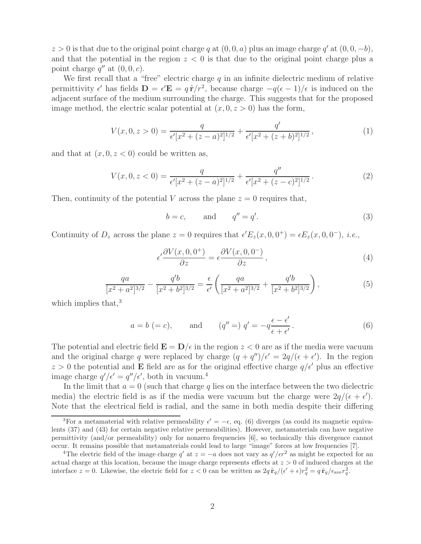$z > 0$  is that due to the original point charge q at  $(0, 0, a)$  plus an image charge q' at  $(0, 0, -b)$ , and that the potential in the region  $z < 0$  is that due to the original point charge plus a point charge  $q''$  at  $(0, 0, c)$ .

We first recall that a "free" electric charge  $q$  in an infinite dielectric medium of relative permittivity  $\epsilon'$  has fields  $\mathbf{D} = \epsilon' \mathbf{E} = q \hat{\mathbf{r}}/r^2$ , because charge  $-q(\epsilon - 1)/\epsilon$  is induced on the adjacent surface of the medium surrounding the charge. This suggests that for the proposed image method, the electric scalar potential at  $(x, 0, z > 0)$  has the form,

$$
V(x, 0, z > 0) = \frac{q}{\epsilon'[x^2 + (z - a)^2]^{1/2}} + \frac{q'}{\epsilon'[x^2 + (z + b)^2]^{1/2}},
$$
\n(1)

and that at  $(x, 0, z < 0)$  could be written as,

$$
V(x, 0, z < 0) = \frac{q}{\epsilon'[x^2 + (z - a)^2]^{1/2}} + \frac{q''}{\epsilon'[x^2 + (z - c)^2]^{1/2}}.
$$
 (2)

Then, continuity of the potential V across the plane  $z = 0$  requires that,

$$
b = c, \qquad \text{and} \qquad q'' = q'. \tag{3}
$$

Continuity of  $D_z$  across the plane  $z = 0$  requires that  $\epsilon' E_z(x, 0, 0^+) = \epsilon E_z(x, 0, 0^-), i.e.,$ 

$$
\epsilon' \frac{\partial V(x,0,0^+)}{\partial z} = \epsilon \frac{\partial V(x,0,0^-)}{\partial z},\tag{4}
$$

$$
\frac{qa}{[x^2+a^2]^{3/2}} - \frac{q'b}{[x^2+b^2]^{3/2}} = \frac{\epsilon}{\epsilon'} \left( \frac{qa}{[x^2+a^2]^{3/2}} + \frac{q'b}{[x^2+b^2]^{3/2}} \right),\tag{5}
$$

which implies that, $3$ 

$$
a = b (= c)
$$
, and  $(q'' =) q' = -q \frac{\epsilon - \epsilon'}{\epsilon + \epsilon'}$ . (6)

The potential and electric field  $\mathbf{E} = \mathbf{D}/\epsilon$  in the region  $z < 0$  are as if the media were vacuum and the original charge q were replaced by charge  $(q + q'')/\epsilon' = 2q/(\epsilon + \epsilon')$ . In the region  $z > 0$  the potential and **E** field are as for the original effective charge  $q/\epsilon'$  plus an effective image charge  $q'/\epsilon' = q''/\epsilon'$ , both in vacuum.<sup>4</sup>

In the limit that  $a = 0$  (such that charge q lies on the interface between the two dielectric media) the electric field is as if the media were vacuum but the charge were  $2q/(\epsilon + \epsilon')$ . Note that the electrical field is radial, and the same in both media despite their differing

<sup>&</sup>lt;sup>3</sup>For a metamaterial with relative permeability  $\epsilon' = -\epsilon$ , eq. (6) diverges (as could its magnetic equivalents (37) and (43) for certain negative relative permeabilities). However, metamaterials can have negative permittivity (and/or permeability) only for nonzero frequencies [6], so technically this divergence cannot occur. It remains possible that metamaterials could lead to large "image" forces at low frequencies [7].

<sup>&</sup>lt;sup>4</sup>The electric field of the image charge q' at  $z = -a$  does not vary as  $q'/\epsilon r^2$  as might be expected for an actual charge at this location, because the image charge represents effects at  $z > 0$  of induced charges at the interface  $z = 0$ . Likewise, the electric field for  $z < 0$  can be written as  $2q \hat{r}_q/(\epsilon' + \epsilon) r_q^2 = q \hat{r}_q/\epsilon_{ave} r_q^2$ .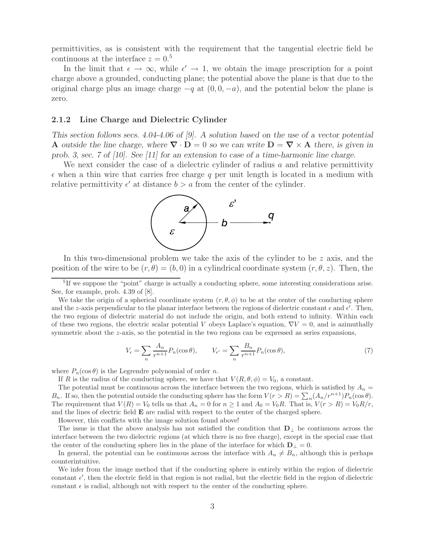permittivities, as is consistent with the requirement that the tangential electric field be continuous at the interface  $z = 0.5$ 

In the limit that  $\epsilon \to \infty$ , while  $\epsilon' \to 1$ , we obtain the image prescription for a point charge above a grounded, conducting plane; the potential above the plane is that due to the original charge plus an image charge  $-q$  at  $(0, 0, -a)$ , and the potential below the plane is zero.

#### **2.1.2 Line Charge and Dielectric Cylinder**

*This section follows secs. 4.04-4.06 of [9]. A solution based on the use of a vector potential* **A** *outside the line charge, where*  $\nabla \cdot \mathbf{D} = 0$  *so we can write*  $\mathbf{D} = \nabla \times \mathbf{A}$  *there, is given in prob. 3, sec. 7 of [10]. See [11] for an extension to case of a time-harmonic line charge.*

We next consider the case of a dielectric cylinder of radius  $a$  and relative permittivity  $\epsilon$  when a thin wire that carries free charge q per unit length is located in a medium with relative permittivity  $\epsilon'$  at distance  $b > a$  from the center of the cylinder.



In this two-dimensional problem we take the axis of the cylinder to be  $z$  axis, and the position of the wire to be  $(r, \theta)=(b, 0)$  in a cylindrical coordinate system  $(r, \theta, z)$ . Then, the

 ${}^{5}$ If we suppose the "point" charge is actually a conducting sphere, some interesting considerations arise. See, for example, prob. 4.39 of [8].

We take the origin of a spherical coordinate system  $(r, \theta, \phi)$  to be at the center of the conducting sphere and the z-axis perpendicular to the planar interface between the regions of dielectric constant  $\epsilon$  and  $\epsilon'$ . Then, the two regions of dielectric material do not include the origin, and both extend to infinity. Within each of these two regions, the electric scalar potential V obeys Laplace's equation,  $\nabla V = 0$ , and is azimuthally symmetric about the  $z$ -axis, so the potential in the two regions can be expressed as series expansions,

$$
V_{\epsilon} = \sum_{n} \frac{A_n}{r^{n+1}} P_n(\cos \theta), \qquad V_{\epsilon'} = \sum_{n} \frac{B_n}{r^{n+1}} P_n(\cos \theta), \tag{7}
$$

where  $P_n(\cos \theta)$  is the Legrendre polynomial of order n.

If R is the radius of the conducting sphere, we have that  $V(R, \theta, \phi) = V_0$ , a constant.

The potential must be continuous across the interface between the two regions, which is satisfied by  $A_n =$  $B_n$ . If so, then the potential outside the conducting sphere has the form  $V(r > R) = \sum_n (A_n/r^{n+1})P_n(\cos \theta)$ . The requirement that  $V(R) = V_0$  tells us that  $A_n = 0$  for  $n \ge 1$  and  $A_0 = V_0R$ . That is,  $V(r > R) = V_0R/r$ , and the lines of electric field **E** are radial with respect to the center of the charged sphere.

However, this conflicts with the image solution found above!

The issue is that the above analysis has not satisfied the condition that **D**<sup>⊥</sup> be continuous across the interface between the two dielectric regions (at which there is no free charge), except in the special case that the center of the conducting sphere lies in the plane of the interface for which  $D_{\perp} = 0$ .

In general, the potential can be continuous across the interface with  $A_n \neq B_n$ , although this is perhaps counterintuitive.

We infer from the image method that if the conducting sphere is entirely within the region of dielectric constant  $\epsilon'$ , then the electric field in that region is not radial, but the electric field in the region of dielectric constant  $\epsilon$  is radial, although not with respect to the center of the conducting sphere.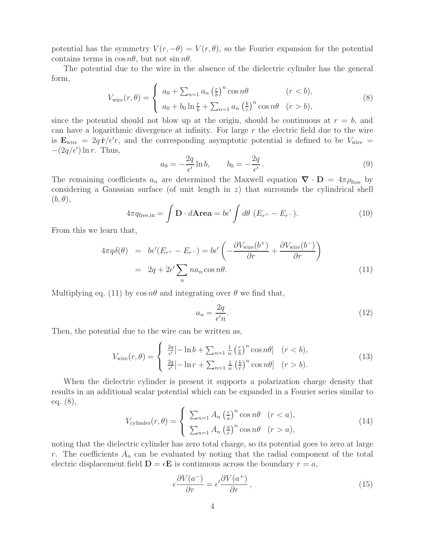potential has the symmetry  $V(r, -\theta) = V(r, \theta)$ , so the Fourier expansion for the potential contains terms in  $\cos n\theta$ , but not  $\sin n\theta$ .

The potential due to the wire in the absence of the dielectric cylinder has the general form,

$$
V_{\text{wire}}(r,\theta) = \begin{cases} a_0 + \sum_{n=1} a_n \left(\frac{r}{b}\right)^n \cos n\theta & (r < b), \\ a_0 + b_0 \ln \frac{r}{b} + \sum_{n=1} a_n \left(\frac{b}{r}\right)^n \cos n\theta & (r > b), \end{cases} \tag{8}
$$

since the potential should not blow up at the origin, should be continuous at  $r = b$ , and can have a logarithmic divergence at infinity. For large  $r$  the electric field due to the wire is  $\mathbf{E}_{\text{wire}} = 2q \hat{\mathbf{r}}/\epsilon' r$ , and the corresponding asymptotic potential is defined to be  $V_{\text{wire}} =$  $-(2q/\epsilon') \ln r$ . Thus,

$$
a_0 = -\frac{2q}{\epsilon'} \ln b, \qquad b_0 = -\frac{2q}{\epsilon'}.
$$
\n(9)

The remaining coefficients  $a_n$  are determined the Maxwell equation  $\nabla \cdot \mathbf{D} = 4\pi \rho_{\text{free}}$  by considering a Gaussian surface (of unit length in  $z$ ) that surrounds the cylindrical shell  $(b, \theta),$ 

$$
4\pi q_{\text{free,in}} = \int \mathbf{D} \cdot d\mathbf{Area} = b\epsilon' \int d\theta \ (E_{r^+} - E_{r^-}). \tag{10}
$$

From this we learn that,

$$
4\pi q \delta(\theta) = b\epsilon'(E_{r^+} - E_{r^-}) = b\epsilon' \left( -\frac{\partial V_{\text{wire}}(b^+)}{\partial r} + \frac{\partial V_{\text{wire}}(b^-)}{\partial r} \right)
$$
  
=  $2q + 2\epsilon' \sum_n na_n \cos n\theta.$  (11)

Multiplying eq. (11) by  $\cos n\theta$  and integrating over  $\theta$  we find that,

$$
a_n = \frac{2q}{\epsilon'n}.\tag{12}
$$

Then, the potential due to the wire can be written as,

$$
V_{\text{wire}}(r,\theta) = \begin{cases} \frac{2q}{\epsilon'}[-\ln b + \sum_{n=1}^{\infty} \frac{1}{n} \left(\frac{r}{b}\right)^n \cos n\theta] & (r < b),\\ \frac{2q}{\epsilon'}[-\ln r + \sum_{n=1}^{\infty} \frac{1}{n} \left(\frac{b}{r}\right)^n \cos n\theta] & (r > b). \end{cases} \tag{13}
$$

When the dielectric cylinder is present it supports a polarization charge density that results in an additional scalar potential which can be expanded in a Fourier series similar to eq. (8),

$$
V_{\text{cylinder}}(r,\theta) = \begin{cases} \sum_{n=1} A_n \left(\frac{r}{a}\right)^n \cos n\theta & (r < a), \\ \sum_{n=1} A_n \left(\frac{a}{r}\right)^n \cos n\theta & (r > a), \end{cases}
$$
(14)

noting that the dielectric cylinder has zero total charge, so its potential goes to zero at large r. The coefficients  $A_n$  can be evaluated by noting that the radial component of the total electric displacement field  $\mathbf{D} = \epsilon \mathbf{E}$  is continuous across the boundary  $r = a$ ,

$$
\epsilon \frac{\partial V(a^{-})}{\partial r} = \epsilon' \frac{\partial V(a^{+})}{\partial r},\tag{15}
$$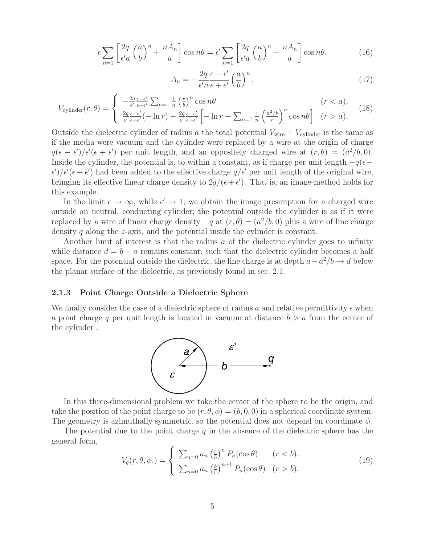$$
\epsilon \sum_{n=1} \left[ \frac{2q}{\epsilon' a} \left( \frac{a}{b} \right)^n + \frac{n A_n}{a} \right] \cos n\theta = \epsilon' \sum_{n=1} \left[ \frac{2q}{\epsilon' a} \left( \frac{a}{b} \right)^n - \frac{n A_n}{a} \right] \cos n\theta, \tag{16}
$$

$$
A_n = -\frac{2q}{\epsilon'n} \frac{\epsilon - \epsilon'}{\epsilon + \epsilon'} \left(\frac{a}{b}\right)^n,\tag{17}
$$

$$
V_{\text{cylinder}}(r,\theta) = \begin{cases} -\frac{2q}{\epsilon'} \frac{\epsilon - \epsilon'}{\epsilon + \epsilon'} \sum_{n=1}^{\infty} \frac{1}{n} \left(\frac{r}{b}\right)^n \cos n\theta & (r < a),\\ \frac{2q}{\epsilon'} \frac{\epsilon - \epsilon'}{\epsilon + \epsilon'} \left(-\ln r\right) - \frac{2q}{\epsilon'} \frac{\epsilon - \epsilon'}{\epsilon + \epsilon'} \left[-\ln r + \sum_{n=1}^{\infty} \frac{1}{n} \left(\frac{a^2/b}{r}\right)^n \cos n\theta\right] & (r > a), \end{cases} (18)
$$

Outside the dielectric cylinder of radius a the total potential  $V_{\text{wire}} + V_{\text{cylinder}}$  is the same as if the media were vacuum and the cylinder were replaced by a wire at the origin of charge  $q(\epsilon - \epsilon')/\epsilon'(\epsilon + \epsilon')$  per unit length, and an oppositely charged wire at  $(r, \theta) = (a^2/b, 0)$ . Inside the cylinder, the potential is, to within a constant, as if charge per unit length  $-q(e \epsilon'$ / $\epsilon'$ ( $\epsilon + \epsilon'$ ) had been added to the effective charge  $q/\epsilon'$  per unit length of the original wire, bringing its effective linear charge density to  $2q/(\epsilon + \epsilon')$ . That is, an image-method holds for this example.

In the limit  $\epsilon \to \infty$ , while  $\epsilon' \to 1$ , we obtain the image prescription for a charged wire outside an neutral, conducting cylinder; the potential outside the cylinder is as if it were replaced by a wire of linear charge density  $-q$  at  $(r, \theta)=(a^2/b, 0)$  plus a wire of line charge density q along the z-axis, and the potential inside the cylinder is constant.

Another limit of interest is that the radius  $a$  of the dielectric cylinder goes to infinity while distance  $d = b - a$  remains constant, such that the dielectric cylinder becomes a half space. For the potential outside the dielectric, the line charge is at depth  $a-a^2/b \rightarrow d$  below the planar surface of the dielectric, as previously found in sec. 2.1.

#### **2.1.3 Point Charge Outside a Dielectric Sphere**

We finally consider the case of a dielectric sphere of radius a and relative permittivity  $\epsilon$  when a point charge q per unit length is located in vacuum at distance  $b > a$  from the center of the cylinder .



In this three-dimensional problem we take the center of the sphere to be the origin, and take the position of the point charge to be  $(r, \theta, \phi)=(b, 0, 0)$  in a spherical coordinate system. The geometry is azimuthally symmetric, so the potential does not depend on coordinate  $\phi$ .

The potential due to the point charge q in the absence of the dielectric sphere has the general form,

$$
V_q(r,\theta,\phi.) = \begin{cases} \sum_{n=0} a_n \left(\frac{r}{b}\right)^n P_n(\cos\theta) & (r < b), \\ \sum_{n=0} a_n \left(\frac{b}{r}\right)^{n+1} P_n(\cos\theta) & (r > b), \end{cases} \tag{19}
$$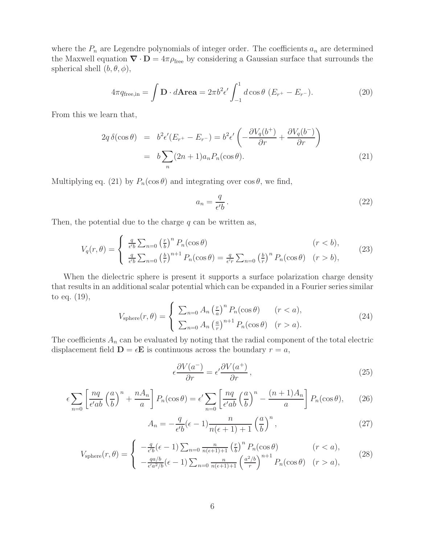where the  $P_n$  are Legendre polynomials of integer order. The coefficients  $a_n$  are determined the Maxwell equation  $\nabla \cdot \mathbf{D} = 4\pi \rho_{\text{free}}$  by considering a Gaussian surface that surrounds the spherical shell  $(b, \theta, \phi)$ ,

$$
4\pi q_{\text{free,in}} = \int \mathbf{D} \cdot d\mathbf{Area} = 2\pi b^2 \epsilon' \int_{-1}^1 d\cos\theta \ (E_{r^+} - E_{r^-}). \tag{20}
$$

From this we learn that,

$$
2q \delta(\cos \theta) = b^2 \epsilon'(E_{r^+} - E_{r^-}) = b^2 \epsilon' \left( -\frac{\partial V_q(b^+)}{\partial r} + \frac{\partial V_q(b^-)}{\partial r} \right)
$$

$$
= b \sum_n (2n+1) a_n P_n(\cos \theta). \tag{21}
$$

Multiplying eq. (21) by  $P_n(\cos \theta)$  and integrating over  $\cos \theta$ , we find,

$$
a_n = \frac{q}{\epsilon'b} \,. \tag{22}
$$

Then, the potential due to the charge  $q$  can be written as,

$$
V_q(r,\theta) = \begin{cases} \frac{q}{\epsilon'b} \sum_{n=0}^{\infty} \left(\frac{r}{b}\right)^n P_n(\cos\theta) & (r < b),\\ \frac{q}{\epsilon'b} \sum_{n=0}^{\infty} \left(\frac{b}{r}\right)^{n+1} P_n(\cos\theta) = \frac{q}{\epsilon'r} \sum_{n=0}^{\infty} \left(\frac{b}{r}\right)^n P_n(\cos\theta) & (r > b), \end{cases}
$$
(23)

When the dielectric sphere is present it supports a surface polarization charge density that results in an additional scalar potential which can be expanded in a Fourier series similar to eq. (19),

$$
V_{\text{sphere}}(r,\theta) = \begin{cases} \sum_{n=0} A_n \left(\frac{r}{a}\right)^n P_n(\cos\theta) & (r < a), \\ \sum_{n=0} A_n \left(\frac{a}{r}\right)^{n+1} P_n(\cos\theta) & (r > a). \end{cases} \tag{24}
$$

The coefficients  $A_n$  can be evaluated by noting that the radial component of the total electric displacement field  $\mathbf{D} = \epsilon \mathbf{E}$  is continuous across the boundary  $r = a$ ,

$$
\epsilon \frac{\partial V(a^{-})}{\partial r} = \epsilon' \frac{\partial V(a^{+})}{\partial r},\tag{25}
$$

$$
\epsilon \sum_{n=0} \left[ \frac{nq}{\epsilon' ab} \left( \frac{a}{b} \right)^n + \frac{n A_n}{a} \right] P_n(\cos \theta) = \epsilon' \sum_{n=0} \left[ \frac{nq}{\epsilon' ab} \left( \frac{a}{b} \right)^n - \frac{(n+1) A_n}{a} \right] P_n(\cos \theta), \tag{26}
$$

$$
A_n = -\frac{q}{\epsilon'b}(\epsilon - 1)\frac{n}{n(\epsilon + 1) + 1} \left(\frac{a}{b}\right)^n,\tag{27}
$$

$$
V_{\text{sphere}}(r,\theta) = \begin{cases} -\frac{q}{\epsilon'b}(\epsilon-1) \sum_{n=0} \frac{n}{n(\epsilon+1)+1} \left(\frac{r}{b}\right)^n P_n(\cos\theta) & (r < a),\\ -\frac{qa}{\epsilon'a^2/b}(\epsilon-1) \sum_{n=0} \frac{n}{n(\epsilon+1)+1} \left(\frac{a^2/b}{r}\right)^{n+1} P_n(\cos\theta) & (r > a), \end{cases} \tag{28}
$$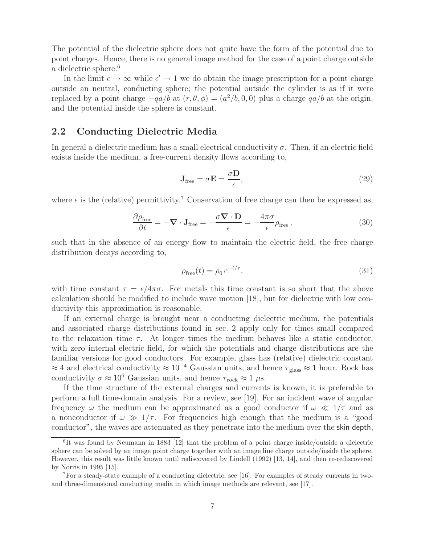The potential of the dielectric sphere does not quite have the form of the potential due to point charges. Hence, there is no general image method for the case of a point charge outside a dielectric sphere.<sup>6</sup>

In the limit  $\epsilon \to \infty$  while  $\epsilon' \to 1$  we do obtain the image prescription for a point charge outside an neutral, conducting sphere; the potential outside the cylinder is as if it were replaced by a point charge  $-qa/b$  at  $(r, \theta, \phi) = (a^2/b, 0, 0)$  plus a charge  $qa/b$  at the origin, and the potential inside the sphere is constant.

### **2.2 Conducting Dielectric Media**

In general a dielectric medium has a small electrical conductivity  $\sigma$ . Then, if an electric field exists inside the medium, a free-current density flows according to,

$$
\mathbf{J}_{\text{free}} = \sigma \mathbf{E} = \frac{\sigma \mathbf{D}}{\epsilon},\tag{29}
$$

where  $\epsilon$  is the (relative) permittivity.<sup>7</sup> Conservation of free charge can then be expressed as,

$$
\frac{\partial \rho_{\text{free}}}{\partial t} = -\nabla \cdot \mathbf{J}_{\text{free}} = -\frac{\sigma \nabla \cdot \mathbf{D}}{\epsilon} = -\frac{4\pi \sigma}{\epsilon} \rho_{\text{free}},\tag{30}
$$

such that in the absence of an energy flow to maintain the electric field, the free charge distribution decays according to,

$$
\rho_{\text{free}}(t) = \rho_0 \, e^{-t/\tau}.\tag{31}
$$

with time constant  $\tau = \epsilon/4\pi\sigma$ . For metals this time constant is so short that the above calculation should be modified to include wave motion [18], but for dielectric with low conductivity this approximation is reasonable.

If an external charge is brought near a conducting dielectric medium, the potentials and associated charge distributions found in sec. 2 apply only for times small compared to the relaxation time  $\tau$ . At longer times the medium behaves like a static conductor, with zero internal electric field, for which the potentials and charge distributions are the familiar versions for good conductors. For example, glass has (relative) dielectric constant  $\approx 4$  and electrical conductivity  $\approx 10^{-4}$  Gaussian units, and hence  $\tau_{\text{glass}} \approx 1$  hour. Rock has conductivity  $\sigma \approx 10^6$  Gaussian units, and hence  $\tau_{\text{rock}} \approx 1 \,\mu\text{s}$ .

If the time structure of the external charges and currents is known, it is preferable to perform a full time-domain analysis. For a review, see [19]. For an incident wave of angular frequency  $\omega$  the medium can be approximated as a good conductor if  $\omega \ll 1/\tau$  and as a nonconductor if  $\omega \gg 1/\tau$ . For frequencies high enough that the medium is a "good conductor", the waves are attenuated as they penetrate into the medium over the skin depth,

 ${}^{6}$ It was found by Neumann in 1883 [12] that the problem of a point charge inside/outside a dielectric sphere can be solved by an image point charge together with an image line charge outside/inside the sphere. However, this result was little known until rediscovered by Lindell (1992) [13, 14], and then re-rediscovered by Norris in 1995 [15].

<sup>7</sup>For a steady-state example of a conducting dielectric, see [16]. For examples of steady currents in twoand three-dimensional conducting media in which image methods are relevant, see [17].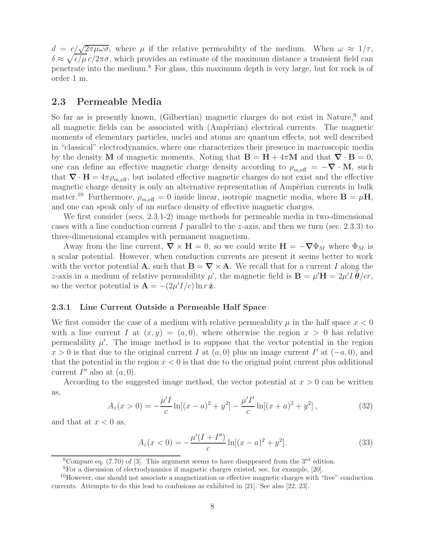$d = c/\sqrt{2\pi\mu\omega\sigma}$ , where  $\mu$  if the relative permeability of the medium. When  $\omega \approx 1/\tau$ ,  $\delta \approx \sqrt{\epsilon/\mu} c/2\pi\sigma$ , which provides an estimate of the maximum distance a transient field can penetrate into the medium.<sup>8</sup> For glass, this maximum depth is very large, but for rock is of order 1 m.

#### **2.3 Permeable Media**

So far as is presently known, (Gilbertian) magnetic charges do not exist in Nature,<sup>9</sup> and all magnetic fields can be associated with (Ampèrian) electrical currents. The magnetic moments of elementary particles, nuclei and atoms are quantum effects, not well described in "classical" electrodynamics, where one characterizes their presence in macroscopic media by the density **M** of magnetic moments. Noting that  $\mathbf{B} = \mathbf{H} + 4\pi\mathbf{M}$  and that  $\nabla \cdot \mathbf{B} = 0$ , one can define an effective magnetic charge density according to  $\rho_{m,\text{eff}} = -\nabla \cdot \mathbf{M}$ , such that  $\nabla \cdot \mathbf{H} = 4\pi \rho_{m,\text{eff}}$ , but isolated effective magnetic charges do not exist and the effective magnetic charge density is only an alternative representation of Ampèrian currents in bulk matter.<sup>10</sup> Furthermore,  $\rho_{m,eff} = 0$  inside linear, isotropic magnetic media, where  $\mathbf{B} = \mu \mathbf{H}$ , and one can speak only of an surface density of effective magnetic charges.

We first consider (secs. 2.3.1-2) image methods for permeable media in two-dimensional cases with a line conduction current I parallel to the z-axis, and then we turn (sec. 2.3.3) to three-dimensional examples with permanent magnetism.

Away from the line current,  $\nabla \times \mathbf{H} = 0$ , so we could write  $\mathbf{H} = -\nabla \Phi_M$  where  $\Phi_M$  is a scalar potential. However, when conduction currents are present it seems better to work with the vector potential **A**, such that  $\mathbf{B} = \nabla \times \mathbf{A}$ . We recall that for a current I along the z-axis in a medium of relative permeability  $\mu'$ , the magnetic field is  $\mathbf{B} = \mu' \mathbf{H} = 2\mu' I \tilde{\boldsymbol{\theta}}/c r$ , so the vector potential is  $\mathbf{A} = -(2\mu'I/c) \ln r \hat{\mathbf{z}}$ .

#### **2.3.1 Line Current Outside a Permeable Half Space**

We first consider the case of a medium with relative permeability  $\mu$  in the half space  $x < 0$ with a line current I at  $(x, y)=(a, 0)$ , where otherwise the region  $x > 0$  has relative permeability  $\mu'$ . The image method is to suppose that the vector potential in the region  $x > 0$  is that due to the original current I at  $(a, 0)$  plus an image current I' at  $(-a, 0)$ , and that the potential in the region  $x < 0$  is that due to the original point current plus additional current  $I''$  also at  $(a, 0)$ .

According to the suggested image method, the vector potential at  $x > 0$  can be written as,

$$
A_z(x>0) = -\frac{\mu'I}{c} \ln[(x-a)^2 + y^2] - \frac{\mu'I'}{c} \ln[(x+a)^2 + y^2],
$$
\n(32)

and that at  $x < 0$  as,

$$
A_z(x<0) = -\frac{\mu'(I+I'')}{c} \ln[(x-a)^2 + y^2].
$$
\n(33)

<sup>8</sup>Compare eq. (7.70) of [3]. This argument seems to have disappeared from the  $3<sup>rd</sup>$  edition.

<sup>9</sup>For a discussion of electrodynamics if magnetic charges existed, see, for example, [20].

 $10$ However, one should not associate a magnetization or effective magnetic charges with "free" conduction currents. Attempts to do this lead to confusions as exhibited in [21]. See also [22, 23].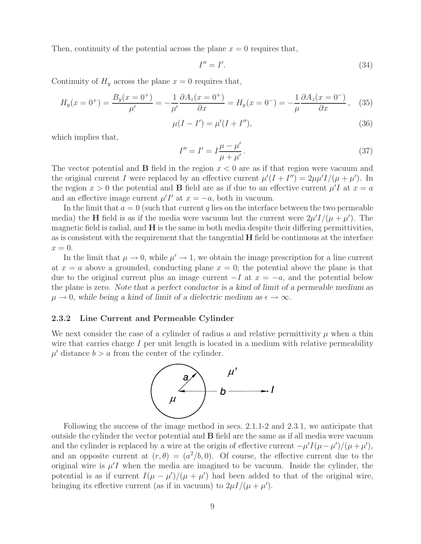Then, continuity of the potential across the plane  $x = 0$  requires that,

$$
I'' = I'.\tag{34}
$$

Continuity of  $H_y$  across the plane  $x = 0$  requires that,

$$
H_y(x = 0^+) = \frac{B_y(x = 0^+)}{\mu'} = -\frac{1}{\mu'} \frac{\partial A_z(x = 0^+)}{\partial x} = H_y(x = 0^-) = -\frac{1}{\mu} \frac{\partial A_z(x = 0^-)}{\partial x}, \quad (35)
$$

$$
\mu(I - I') = \mu'(I + I''),\tag{36}
$$

which implies that,

$$
I'' = I' = I \frac{\mu - \mu'}{\mu + \mu'}.
$$
\n(37)

The vector potential and **B** field in the region  $x < 0$  are as if that region were vacuum and the original current I were replaced by an effective current  $\mu'(I + I'') = 2\mu\mu'I/(\mu + \mu')$ . In the region  $x > 0$  the potential and **B** field are as if due to an effective current  $\mu' I$  at  $x = a$ and an effective image current  $\mu' I'$  at  $x = -a$ , both in vacuum.

In the limit that  $a = 0$  (such that current q lies on the interface between the two permeable media) the **H** field is as if the media were vacuum but the current were  $2\mu' I/(\mu + \mu')$ . The magnetic field is radial, and **H** is the same in both media despite their differing permittivities, as is consistent with the requirement that the tangential **H** field be continuous at the interface  $x=0.$ 

In the limit that  $\mu \to 0$ , while  $\mu' \to 1$ , we obtain the image prescription for a line current at  $x = a$  above a grounded, conducting plane  $x = 0$ ; the potential above the plane is that due to the original current plus an image current  $-I$  at  $x = -a$ , and the potential below the plane is zero. *Note that a perfect conductor is a kind of limit of a permeable medium as*  $\mu \to 0$ , while being a kind of limit of a dielectric medium as  $\epsilon \to \infty$ .

#### **2.3.2 Line Current and Permeable Cylinder**

We next consider the case of a cylinder of radius a and relative permittivity  $\mu$  when a thin wire that carries charge  $I$  per unit length is located in a medium with relative permeability  $\mu'$  distance  $b > a$  from the center of the cylinder.



Following the success of the image method in secs. 2.1.1-2 and 2.3.1, we anticipate that outside the cylinder the vector potential and **B** field are the same as if all media were vacuum and the cylinder is replaced by a wire at the origin of effective current  $-\mu' I(\mu - \mu')/(\mu + \mu')$ , and an opposite current at  $(r, \theta)=(a^2/b, 0)$ . Of course, the effective current due to the original wire is  $\mu' I$  when the media are imagined to be vacuum. Inside the cylinder, the potential is as if current  $I(\mu - \mu')/(\mu + \mu')$  had been added to that of the original wire, bringing its effective current (as if in vacuum) to  $2\mu I/(\mu + \mu')$ .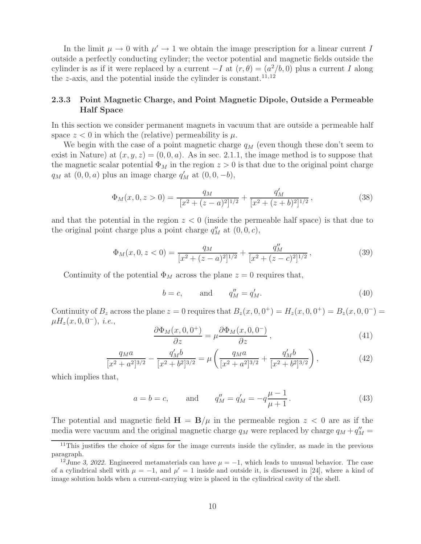In the limit  $\mu \to 0$  with  $\mu' \to 1$  we obtain the image prescription for a linear current I outside a perfectly conducting cylinder; the vector potential and magnetic fields outside the cylinder is as if it were replaced by a current  $-I$  at  $(r, \theta)=(a^2/b, 0)$  plus a current I along the z-axis, and the potential inside the cylinder is constant.<sup>11,12</sup>

#### **2.3.3 Point Magnetic Charge, and Point Magnetic Dipole, Outside a Permeable Half Space**

In this section we consider permanent magnets in vacuum that are outside a permeable half space  $z < 0$  in which the (relative) permeability is  $\mu$ .

We begin with the case of a point magnetic charge  $q_M$  (even though these don't seem to exist in Nature) at  $(x, y, z) = (0, 0, a)$ . As in sec. 2.1.1, the image method is to suppose that the magnetic scalar potential  $\Phi_M$  in the region  $z > 0$  is that due to the original point charge  $q_M$  at  $(0, 0, a)$  plus an image charge  $q'_M$  at  $(0, 0, -b)$ ,

$$
\Phi_M(x,0,z>0) = \frac{q_M}{[x^2 + (z-a)^2]^{1/2}} + \frac{q'_M}{[x^2 + (z+b)^2]^{1/2}},
$$
\n(38)

and that the potential in the region  $z < 0$  (inside the permeable half space) is that due to the original point charge plus a point charge  $q''_M$  at  $(0, 0, c)$ ,

$$
\Phi_M(x,0,z<0) = \frac{q_M}{[x^2 + (z-a)^2]^{1/2}} + \frac{q_M''}{[x^2 + (z-c)^2]^{1/2}},
$$
\n(39)

Continuity of the potential  $\Phi_M$  across the plane  $z = 0$  requires that,

$$
b = c, \qquad \text{and} \qquad q_M'' = q_M'.
$$
\n<sup>(40)</sup>

Continuity of  $B_z$  across the plane  $z = 0$  requires that  $B_z(x, 0, 0^+) = H_z(x, 0, 0^+) = B_z(x, 0, 0^-) =$  $\mu H_z(x,0,0^-), i.e.,$ 

$$
\frac{\partial \Phi_M(x,0,0^+)}{\partial z} = \mu \frac{\partial \Phi_M(x,0,0^-)}{\partial z},\tag{41}
$$

$$
\frac{q_M a}{[x^2 + a^2]^{3/2}} - \frac{q'_M b}{[x^2 + b^2]^{3/2}} = \mu \left( \frac{q_M a}{[x^2 + a^2]^{3/2}} + \frac{q'_M b}{[x^2 + b^2]^{3/2}} \right),\tag{42}
$$

which implies that,

$$
a = b = c,
$$
 and  $q''_M = q'_M = -q\frac{\mu - 1}{\mu + 1}.$  (43)

The potential and magnetic field  $H = B/\mu$  in the permeable region  $z < 0$  are as if the media were vacuum and the original magnetic charge  $q_M$  were replaced by charge  $q_M + q''_M =$ 

 $11$ This justifies the choice of signs for the image currents inside the cylinder, as made in the previous paragraph.

<sup>&</sup>lt;sup>12</sup>June 3, 2022. Engineered metamaterials can have  $\mu = -1$ , which leads to unusual behavior. The case of a cylindrical shell with  $\mu = -1$ , and  $\mu' = 1$  inside and outside it, is discussed in [24], where a kind of image solution holds when a current-carrying wire is placed in the cylindrical cavity of the shell.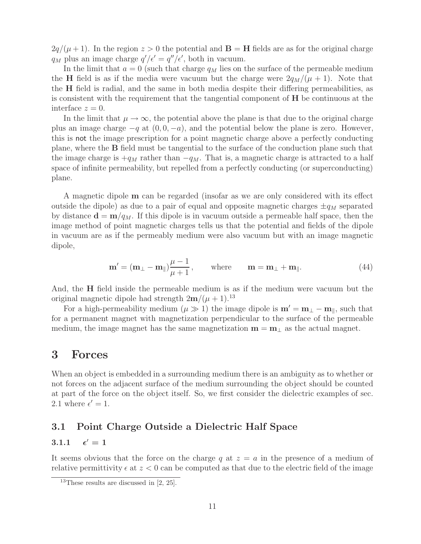$2q/(\mu+1)$ . In the region  $z > 0$  the potential and **B** = **H** fields are as for the original charge  $q_M$  plus an image charge  $q'/\epsilon' = q''/\epsilon'$ , both in vacuum.

In the limit that  $a = 0$  (such that charge  $q_M$  lies on the surface of the permeable medium the **H** field is as if the media were vacuum but the charge were  $2q_M/(\mu + 1)$ . Note that the **H** field is radial, and the same in both media despite their differing permeabilities, as is consistent with the requirement that the tangential component of **H** be continuous at the interface  $z = 0$ .

In the limit that  $\mu \to \infty$ , the potential above the plane is that due to the original charge plus an image charge  $-q$  at  $(0, 0, -a)$ , and the potential below the plane is zero. However, this is not the image prescription for a point magnetic charge above a perfectly conducting plane, where the **B** field must be tangential to the surface of the conduction plane such that the image charge is  $+q_M$  rather than  $-q_M$ . That is, a magnetic charge is attracted to a half space of infinite permeability, but repelled from a perfectly conducting (or superconducting) plane.

A magnetic dipole **m** can be regarded (insofar as we are only considered with its effect outside the dipole) as due to a pair of equal and opposite magnetic charges  $\pm q_M$  separated by distance  $\mathbf{d} = \mathbf{m}/q_M$ . If this dipole is in vacuum outside a permeable half space, then the image method of point magnetic charges tells us that the potential and fields of the dipole in vacuum are as if the permeably medium were also vacuum but with an image magnetic dipole,

$$
\mathbf{m}' = (\mathbf{m}_{\perp} - \mathbf{m}_{\parallel}) \frac{\mu - 1}{\mu + 1}, \quad \text{where} \quad \mathbf{m} = \mathbf{m}_{\perp} + \mathbf{m}_{\parallel}. \tag{44}
$$

And, the **H** field inside the permeable medium is as if the medium were vacuum but the original magnetic dipole had strength  $2m/(\mu + 1)$ .<sup>13</sup>

For a high-permeability medium ( $\mu \gg 1$ ) the image dipole is  $\mathbf{m}' = \mathbf{m}_{\perp} - \mathbf{m}_{\parallel}$ , such that for a permanent magnet with magnetization perpendicular to the surface of the permeable medium, the image magnet has the same magnetization  $\mathbf{m} = \mathbf{m}_{\perp}$  as the actual magnet.

## **3 Forces**

When an object is embedded in a surrounding medium there is an ambiguity as to whether or not forces on the adjacent surface of the medium surrounding the object should be counted at part of the force on the object itself. So, we first consider the dielectric examples of sec. 2.1 where  $\epsilon' = 1$ .

## **3.1 Point Charge Outside a Dielectric Half Space**

#### **3.1.1** - $\epsilon' = 1$

It seems obvious that the force on the charge q at  $z = a$  in the presence of a medium of relative permittivity  $\epsilon$  at  $z < 0$  can be computed as that due to the electric field of the image

<sup>&</sup>lt;sup>13</sup>These results are discussed in  $[2, 25]$ .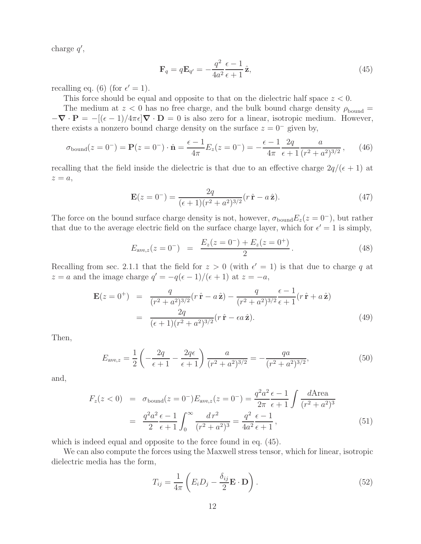charge  $q'$ ,

$$
\mathbf{F}_q = q\mathbf{E}_{q'} = -\frac{q^2}{4a^2}\frac{\epsilon - 1}{\epsilon + 1}\hat{\mathbf{z}},\tag{45}
$$

recalling eq. (6) (for  $\epsilon' = 1$ ).

This force should be equal and opposite to that on the dielectric half space  $z < 0$ .

The medium at  $z < 0$  has no free charge, and the bulk bound charge density  $\rho_{\text{bound}} =$  $-\nabla \cdot \mathbf{P} = -[(\epsilon - 1)/4\pi \epsilon] \nabla \cdot \mathbf{D} = 0$  is also zero for a linear, isotropic medium. However, there exists a nonzero bound charge density on the surface  $z = 0^-$  given by,

$$
\sigma_{\text{bound}}(z = 0^-) = \mathbf{P}(z = 0^-) \cdot \hat{\mathbf{n}} = \frac{\epsilon - 1}{4\pi} E_z(z = 0^-) = -\frac{\epsilon - 1}{4\pi} \frac{2q}{\epsilon + 1} \frac{a}{(r^2 + a^2)^{3/2}},\qquad(46)
$$

recalling that the field inside the dielectric is that due to an effective charge  $2q/(\epsilon+1)$  at  $z = a$ ,

$$
\mathbf{E}(z=0^{-}) = \frac{2q}{(\epsilon+1)(r^2+a^2)^{3/2}}(r\,\hat{\mathbf{r}} - a\,\hat{\mathbf{z}}). \tag{47}
$$

The force on the bound surface charge density is not, however,  $\sigma_{\text{bound}}E_z(z=0^-)$ , but rather that due to the average electric field on the surface charge layer, which for  $\epsilon' = 1$  is simply,

$$
E_{\text{ave},z}(z=0^-) = \frac{E_z(z=0^-) + E_z(z=0^+)}{2}.
$$
 (48)

Recalling from sec. 2.1.1 that the field for  $z > 0$  (with  $\epsilon' = 1$ ) is that due to charge q at  $z = a$  and the image charge  $q' = -q(\epsilon - 1)/(\epsilon + 1)$  at  $z = -a$ ,

$$
\mathbf{E}(z = 0^{+}) = \frac{q}{(r^{2} + a^{2})^{3/2}}(r\,\hat{\mathbf{r}} - a\,\hat{\mathbf{z}}) - \frac{q}{(r^{2} + a^{2})^{3/2}}\frac{\epsilon - 1}{\epsilon + 1}(r\,\hat{\mathbf{r}} + a\,\hat{\mathbf{z}})
$$
  
= 
$$
\frac{2q}{(\epsilon + 1)(r^{2} + a^{2})^{3/2}}(r\,\hat{\mathbf{r}} - \epsilon a\,\hat{\mathbf{z}}).
$$
 (49)

Then,

$$
E_{\text{ave},z} = \frac{1}{2} \left( -\frac{2q}{\epsilon + 1} - \frac{2q\epsilon}{\epsilon + 1} \right) \frac{a}{(r^2 + a^2)^{3/2}} = -\frac{qa}{(r^2 + a^2)^{3/2}},\tag{50}
$$

and,

$$
F_z(z < 0) = \sigma_{\text{bound}}(z = 0^-) E_{\text{ave},z}(z = 0^-) = \frac{q^2 a^2 \epsilon - 1}{2\pi \epsilon + 1} \int \frac{d\text{Area}}{(r^2 + a^2)^3}
$$
  
= 
$$
\frac{q^2 a^2 \epsilon - 1}{2 \epsilon + 1} \int_0^\infty \frac{dr^2}{(r^2 + a^2)^3} = \frac{q^2 \epsilon - 1}{4a^2 \epsilon + 1},
$$
(51)

which is indeed equal and opposite to the force found in eq.  $(45)$ .

We can also compute the forces using the Maxwell stress tensor, which for linear, isotropic dielectric media has the form,

$$
T_{ij} = \frac{1}{4\pi} \left( E_i D_j - \frac{\delta_{ij}}{2} \mathbf{E} \cdot \mathbf{D} \right).
$$
 (52)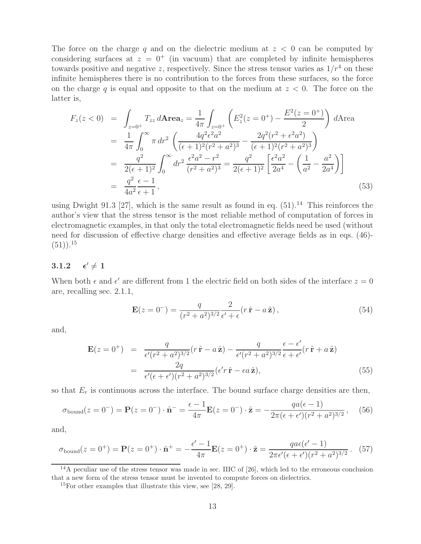The force on the charge q and on the dielectric medium at  $z < 0$  can be computed by considering surfaces at  $z = 0^+$  (in vacuum) that are completed by infinite hemispheres towards positive and negative z, respectively. Since the stress tensor varies as  $1/r<sup>4</sup>$  on these infinite hemispheres there is no contribution to the forces from these surfaces, so the force on the charge q is equal and opposite to that on the medium at  $z < 0$ . The force on the latter is,

$$
F_z(z<0) = \int_{z=0^+} T_{zz} d\mathbf{A} \mathbf{r} \mathbf{e} \mathbf{a}_z = \frac{1}{4\pi} \int_{z=0^+} \left( E_z^2(z=0^+) - \frac{E^2(z=0^+)}{2} \right) d\mathbf{A} \mathbf{r} \mathbf{e} \mathbf{a}
$$
  
\n
$$
= \frac{1}{4\pi} \int_0^\infty \pi \, dr^2 \left( \frac{4q^2 \epsilon^2 a^2}{(\epsilon+1)^2 (r^2+a^2)^3} - \frac{2q^2 (r^2+\epsilon^2 a^2)}{(\epsilon+1)^2 (r^2+a^2)^3} \right)
$$
  
\n
$$
= \frac{q^2}{2(\epsilon+1)^2} \int_0^\infty dr^2 \frac{\epsilon^2 a^2 - r^2}{(r^2+a^2)^3} = \frac{q^2}{2(\epsilon+1)^2} \left[ \frac{\epsilon^2 a^2}{2a^4} - \left( \frac{1}{a^2} - \frac{a^2}{2a^4} \right) \right]
$$
  
\n
$$
= \frac{q^2}{4a^2} \frac{\epsilon-1}{\epsilon+1}, \tag{53}
$$

using Dwight 91.3 [27], which is the same result as found in eq.  $(51).<sup>14</sup>$  This reinforces the author's view that the stress tensor is the most reliable method of computation of forces in electromagnetic examples, in that only the total electromagnetic fields need be used (without need for discussion of effective charge densities and effective average fields as in eqs. (46)-  $(51)$ ).<sup>15</sup>

#### **3.1.2** - $\epsilon' \neq 1$

When both  $\epsilon$  and  $\epsilon'$  are different from 1 the electric field on both sides of the interface  $z = 0$ are, recalling sec. 2.1.1,

$$
\mathbf{E}(z=0^{-}) = \frac{q}{(r^2 + a^2)^{3/2}} \frac{2}{\epsilon' + \epsilon} (r \hat{\mathbf{r}} - a \hat{\mathbf{z}}),
$$
(54)

and,

$$
\mathbf{E}(z=0^{+}) = \frac{q}{\epsilon'(r^{2}+a^{2})^{3/2}}(r\,\hat{\mathbf{r}}-a\,\hat{\mathbf{z}}) - \frac{q}{\epsilon'(r^{2}+a^{2})^{3/2}}\frac{\epsilon-\epsilon'}{\epsilon+\epsilon'}(r\,\hat{\mathbf{r}}+a\,\hat{\mathbf{z}})
$$

$$
= \frac{2q}{\epsilon'(\epsilon+\epsilon')(r^{2}+a^{2})^{3/2}}(\epsilon'r\,\hat{\mathbf{r}}-ea\,\hat{\mathbf{z}}), \tag{55}
$$

so that  $E_r$  is continuous across the interface. The bound surface charge densities are then,

$$
\sigma_{\text{bound}}(z=0^-) = \mathbf{P}(z=0^-) \cdot \hat{\mathbf{n}}^- = \frac{\epsilon - 1}{4\pi} \mathbf{E}(z=0^-) \cdot \hat{\mathbf{z}} = -\frac{qa(\epsilon - 1)}{2\pi(\epsilon + \epsilon')(r^2 + a^2)^{3/2}},\tag{56}
$$

and,

$$
\sigma_{\text{bound}}(z = 0^+) = \mathbf{P}(z = 0^+) \cdot \hat{\mathbf{n}}^+ = -\frac{\epsilon'-1}{4\pi} \mathbf{E}(z = 0^+) \cdot \hat{\mathbf{z}} = \frac{qa\epsilon(\epsilon'-1)}{2\pi\epsilon'(\epsilon+\epsilon')(r^2+a^2)^{3/2}}.
$$
 (57)

 $14A$  peculiar use of the stress tensor was made in sec. IIIC of [26], which led to the erroneous conclusion that a new form of the stress tensor must be invented to compute forces on dielectrics.

<sup>15</sup>For other examples that illustrate this view, see [28, 29].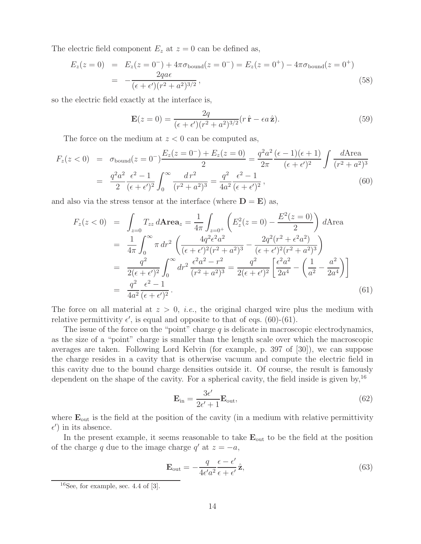The electric field component  $E_z$  at  $z = 0$  can be defined as,

$$
E_z(z=0) = E_z(z=0^-) + 4\pi\sigma_{\text{bound}}(z=0^-) = E_z(z=0^+) - 4\pi\sigma_{\text{bound}}(z=0^+) = -\frac{2qa\epsilon}{(\epsilon + \epsilon')(r^2 + a^2)^{3/2}},
$$
(58)

so the electric field exactly at the interface is,

$$
\mathbf{E}(z=0) = \frac{2q}{(\epsilon + \epsilon')(r^2 + a^2)^{3/2}} (r\,\hat{\mathbf{r}} - \epsilon a\,\hat{\mathbf{z}}). \tag{59}
$$

The force on the medium at  $z < 0$  can be computed as,

$$
F_z(z<0) = \sigma_{\text{bound}}(z=0^-) \frac{E_z(z=0^-) + E_z(z=0)}{2} = \frac{q^2 a^2}{2\pi} \frac{(\epsilon - 1)(\epsilon + 1)}{(\epsilon + \epsilon')^2} \int \frac{d\text{Area}}{(r^2 + a^2)^3}
$$

$$
= \frac{q^2 a^2}{2} \frac{\epsilon^2 - 1}{(\epsilon + \epsilon')^2} \int_0^\infty \frac{dr^2}{(r^2 + a^2)^3} = \frac{q^2}{4a^2} \frac{\epsilon^2 - 1}{(\epsilon + \epsilon')^2}, \tag{60}
$$

and also via the stress tensor at the interface (where  $D = E$ ) as,

$$
F_z(z<0) = \int_{z=0} T_{zz} d\mathbf{A} \mathbf{r} \mathbf{e} \mathbf{a}_z = \frac{1}{4\pi} \int_{z=0^+} \left( E_z^2(z=0) - \frac{E^2(z=0)}{2} \right) d\mathbf{A} \mathbf{r} \mathbf{e} \mathbf{a}
$$
  
\n
$$
= \frac{1}{4\pi} \int_0^\infty \pi \, dr^2 \left( \frac{4q^2 \epsilon^2 a^2}{(\epsilon + \epsilon')^2 (r^2 + a^2)^3} - \frac{2q^2 (r^2 + \epsilon^2 a^2)}{(\epsilon + \epsilon')^2 (r^2 + a^2)^3} \right)
$$
  
\n
$$
= \frac{q^2}{2(\epsilon + \epsilon')^2} \int_0^\infty dr^2 \frac{\epsilon^2 a^2 - r^2}{(r^2 + a^2)^3} = \frac{q^2}{2(\epsilon + \epsilon')^2} \left[ \frac{\epsilon^2 a^2}{2a^4} - \left( \frac{1}{a^2} - \frac{a^2}{2a^4} \right) \right]
$$
  
\n
$$
= \frac{q^2}{4a^2} \frac{\epsilon^2 - 1}{(\epsilon + \epsilon')^2}.
$$
 (61)

The force on all material at  $z > 0$ , *i.e.*, the original charged wire plus the medium with relative permittivity  $\epsilon'$ , is equal and opposite to that of eqs. (60)-(61).

The issue of the force on the "point" charge  $q$  is delicate in macroscopic electrodynamics, as the size of a "point" charge is smaller than the length scale over which the macroscopic averages are taken. Following Lord Kelvin (for example, p. 397 of [30]), we can suppose the charge resides in a cavity that is otherwise vacuum and compute the electric field in this cavity due to the bound charge densities outside it. Of course, the result is famously dependent on the shape of the cavity. For a spherical cavity, the field inside is given by,<sup>16</sup>

$$
\mathbf{E}_{\rm in} = \frac{3\epsilon'}{2\epsilon' + 1} \mathbf{E}_{\rm out},\tag{62}
$$

where  $\mathbf{E}_{\text{out}}$  is the field at the position of the cavity (in a medium with relative permittivity  $\epsilon'$ ) in its absence.

In the present example, it seems reasonable to take  $\mathbf{E}_{\text{out}}$  to be the field at the position of the charge q due to the image charge  $q'$  at  $z = -a$ ,

$$
\mathbf{E}_{\text{out}} = -\frac{q}{4\epsilon' a^2} \frac{\epsilon - \epsilon'}{\epsilon + \epsilon'} \hat{\mathbf{z}},\tag{63}
$$

 $16$ See, for example, sec. 4.4 of [3].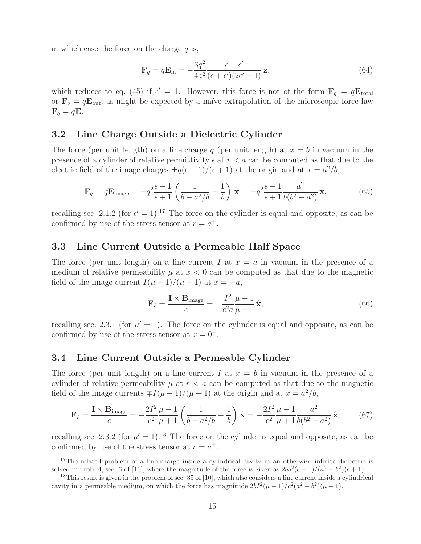in which case the force on the charge  $q$  is,

$$
\mathbf{F}_q = q\mathbf{E}_{\rm in} = -\frac{3q^2}{4a^2} \frac{\epsilon - \epsilon'}{(\epsilon + \epsilon')(2\epsilon' + 1)} \hat{\mathbf{z}},\tag{64}
$$

which reduces to eq. (45) if  $\epsilon' = 1$ . However, this force is not of the form  $\mathbf{F}_q = q\mathbf{E}_{\text{total}}$ or  $\mathbf{F}_q = q\mathbf{E}_{\text{out}}$ , as might be expected by a naïve extrapolation of the microscopic force law  $\mathbf{F}_q = q\mathbf{E}$ .

#### **3.2 Line Charge Outside a Dielectric Cylinder**

The force (per unit length) on a line charge q (per unit length) at  $x = b$  in vacuum in the presence of a cylinder of relative permittivity  $\epsilon$  at  $r < a$  can be computed as that due to the electric field of the image charges  $\pm q(\epsilon - 1)/(\epsilon + 1)$  at the origin and at  $x = a^2/b$ ,

$$
\mathbf{F}_q = q\mathbf{E}_{\text{image}} = -q^2 \frac{\epsilon - 1}{\epsilon + 1} \left( \frac{1}{b - a^2/b} - \frac{1}{b} \right) \hat{\mathbf{x}} = -q^2 \frac{\epsilon - 1}{\epsilon + 1} \frac{a^2}{b(b^2 - a^2)} \hat{\mathbf{x}},\tag{65}
$$

recalling sec. 2.1.2 (for  $\epsilon' = 1$ ).<sup>17</sup> The force on the cylinder is equal and opposite, as can be confirmed by use of the stress tensor at  $r = a^+$ .

### **3.3 Line Current Outside a Permeable Half Space**

The force (per unit length) on a line current I at  $x = a$  in vacuum in the presence of a medium of relative permeability  $\mu$  at  $x < 0$  can be computed as that due to the magnetic field of the image current  $I(\mu - 1)/(\mu + 1)$  at  $x = -a$ ,

$$
\mathbf{F}_I = \frac{\mathbf{I} \times \mathbf{B}_{\text{image}}}{c} = -\frac{I^2}{c^2 a} \frac{\mu - 1}{\mu + 1} \hat{\mathbf{x}},\tag{66}
$$

recalling sec. 2.3.1 (for  $\mu' = 1$ ). The force on the cylinder is equal and opposite, as can be confirmed by use of the stress tensor at  $x = 0^+$ .

#### **3.4 Line Current Outside a Permeable Cylinder**

The force (per unit length) on a line current I at  $x = b$  in vacuum in the presence of a cylinder of relative permeability  $\mu$  at  $r < a$  can be computed as that due to the magnetic field of the image currents  $\mp I(\mu-1)/(\mu+1)$  at the origin and at  $x=a^2/b$ ,

$$
\mathbf{F}_I = \frac{\mathbf{I} \times \mathbf{B}_{\text{image}}}{c} = -\frac{2I^2}{c^2} \frac{\mu - 1}{\mu + 1} \left( \frac{1}{b - a^2/b} - \frac{1}{b} \right) \hat{\mathbf{x}} = -\frac{2I^2}{c^2} \frac{\mu - 1}{\mu + 1} \frac{a^2}{b(b^2 - a^2)} \hat{\mathbf{x}},\tag{67}
$$

recalling sec. 2.3.2 (for  $\mu' = 1$ ).<sup>18</sup> The force on the cylinder is equal and opposite, as can be confirmed by use of the stress tensor at  $r = a^+$ .

<sup>&</sup>lt;sup>17</sup>The related problem of a line charge inside a cylindrical cavity in an otherwise infinite dielectric is solved in prob. 4, sec. 6 of [10], where the magnitude of the force is given as  $2bq^2(\epsilon-1)/(a^2-b^2)(\epsilon+1)$ .

 $18$ This result is given in the problem of sec. 35 of [10], which also considers a line current inside a cylindrical cavity in a permeable medium, on which the force has magnitude  $2bI^2(\mu-1)/c^2(a^2-b^2)(\mu+1)$ .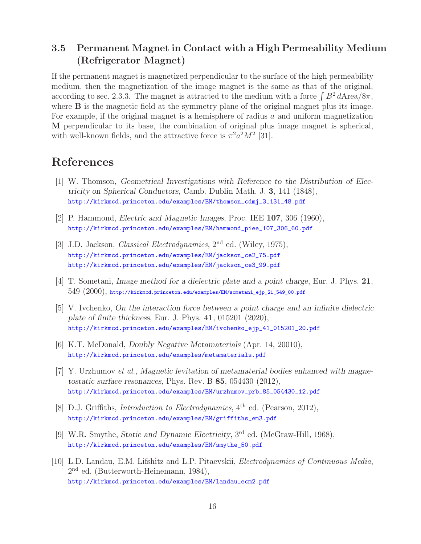# **3.5 Permanent Magnet in Contact with a High Permeability Medium (Refrigerator Magnet)**

If the permanent magnet is magnetized perpendicular to the surface of the high permeability medium, then the magnetization of the image magnet is the same as that of the original, according to sec. 2.3.3. The magnet is attracted to the medium with a force  $\int B^2 dA \text{rea/}8\pi$ , where **B** is the magnetic field at the symmetry plane of the original magnet plus its image. For example, if the original magnet is a hemisphere of radius a and uniform magnetization **M** perpendicular to its base, the combination of original plus image magnet is spherical, with well-known fields, and the attractive force is  $\pi^2 a^2 M^2$  [31].

# **References**

- [1] W. Thomson, *Geometrical Investigations with Reference to the Distribution of Electricity on Spherical Conductors*, Camb. Dublin Math. J. **3**, 141 (1848), http://kirkmcd.princeton.edu/examples/EM/thomson\_cdmj\_3\_131\_48.pdf
- [2] P. Hammond, *Electric and Magnetic Images*, Proc. IEE **107**, 306 (1960), http://kirkmcd.princeton.edu/examples/EM/hammond\_piee\_107\_306\_60.pdf
- [3] J.D. Jackson, *Classical Electrodynamics*, 2nd ed. (Wiley, 1975), http://kirkmcd.princeton.edu/examples/EM/jackson\_ce2\_75.pdf http://kirkmcd.princeton.edu/examples/EM/jackson\_ce3\_99.pdf
- [4] T. Sometani, *Image method for a dielectric plate and a point charge*, Eur. J. Phys. **21**,  $549$   $(2000)$ , http://kirkmcd.princeton.edu/examples/EM/sometani\_ejp\_21\_549\_00.pdf
- [5] V. Ivchenko, *On the interaction force between a point charge and an infinite dielectric plate of finite thickness*, Eur. J. Phys. **41**, 015201 (2020), http://kirkmcd.princeton.edu/examples/EM/ivchenko\_ejp\_41\_015201\_20.pdf
- [6] K.T. McDonald, *Doubly Negative Metamaterials* (Apr. 14, 20010), http://kirkmcd.princeton.edu/examples/metamaterials.pdf
- [7] Y. Urzhumov *et al.*, *Magnetic levitation of metamaterial bodies enhanced with magnetostatic surface resonances*, Phys. Rev. B **85**, 054430 (2012), http://kirkmcd.princeton.edu/examples/EM/urzhumov\_prb\_85\_054430\_12.pdf
- [8] D.J. Griffiths, *Introduction to Electrodynamics*, 4<sup>th</sup> ed. (Pearson, 2012), http://kirkmcd.princeton.edu/examples/EM/griffiths\_em3.pdf
- [9] W.R. Smythe, *Static and Dynamic Electricity*, 3rd ed. (McGraw-Hill, 1968), http://kirkmcd.princeton.edu/examples/EM/smythe\_50.pdf
- [10] L.D. Landau, E.M. Lifshitz and L.P. Pitaevskii, *Electrodynamics of Continuous Media*, 2nd ed. (Butterworth-Heinemann, 1984), http://kirkmcd.princeton.edu/examples/EM/landau\_ecm2.pdf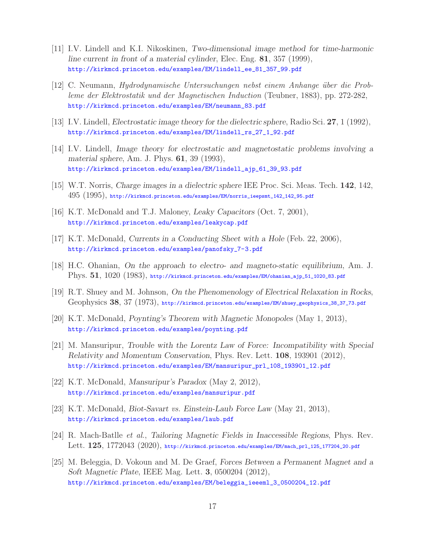- [11] I.V. Lindell and K.I. Nikoskinen, *Two-dimensional image method for time-harmonic line current in front of a material cylinder*, Elec. Eng. **81**, 357 (1999), http://kirkmcd.princeton.edu/examples/EM/lindell\_ee\_81\_357\_99.pdf
- [12] C. Neumann, *Hydrodynamische Untersuchungen nebst einem Anhange ¨uber die Probleme der Elektrostatik und der Magnetischen Induction* (Teubner, 1883), pp. 272-282, http://kirkmcd.princeton.edu/examples/EM/neumann\_83.pdf
- [13] I.V. Lindell, *Electrostatic image theory for the dielectric sphere*, Radio Sci. **27**, 1 (1992), http://kirkmcd.princeton.edu/examples/EM/lindell\_rs\_27\_1\_92.pdf
- [14] I.V. Lindell, *Image theory for electrostatic and magnetostatic problems involving a material sphere*, Am. J. Phys. **61**, 39 (1993), http://kirkmcd.princeton.edu/examples/EM/lindell\_ajp\_61\_39\_93.pdf
- [15] W.T. Norris, *Charge images in a dielectric sphere* IEE Proc. Sci. Meas. Tech. **142**, 142, 495 (1995), http://kirkmcd.princeton.edu/examples/EM/norris\_ieepsmt\_142\_142\_95.pdf
- [16] K.T. McDonald and T.J. Maloney, *Leaky Capacitors* (Oct. 7, 2001), http://kirkmcd.princeton.edu/examples/leakycap.pdf
- [17] K.T. McDonald, *Currents in a Conducting Sheet with a Hole* (Feb. 22, 2006), http://kirkmcd.princeton.edu/examples/panofsky\_7-3.pdf
- [18] H.C. Ohanian, *On the approach to electro- and magneto-static equilibrium*, Am. J. Phys. **51**, 1020 (1983), http://kirkmcd.princeton.edu/examples/EM/ohanian\_ajp\_51\_1020\_83.pdf
- [19] R.T. Shuey and M. Johnson, *On the Phenomenology of Electrical Relaxation in Rocks*, Geophysics **38**, 37 (1973), http://kirkmcd.princeton.edu/examples/EM/shuey\_geophysics\_38\_37\_73.pdf
- [20] K.T. McDonald, *Poynting's Theorem with Magnetic Monopoles* (May 1, 2013), http://kirkmcd.princeton.edu/examples/poynting.pdf
- [21] M. Mansuripur, *Trouble with the Lorentz Law of Force: Incompatibility with Special Relativity and Momentum Conservation*, Phys. Rev. Lett. **108**, 193901 (2012), http://kirkmcd.princeton.edu/examples/EM/mansuripur\_prl\_108\_193901\_12.pdf
- [22] K.T. McDonald, *Mansuripur's Paradox* (May 2, 2012), http://kirkmcd.princeton.edu/examples/mansuripur.pdf
- [23] K.T. McDonald, *Biot-Savart vs. Einstein-Laub Force Law* (May 21, 2013), http://kirkmcd.princeton.edu/examples/laub.pdf
- [24] R. Mach-Batlle *et al.*, *Tailoring Magnetic Fields in Inaccessible Regions*, Phys. Rev. Lett. **125**, 1772043 (2020), http://kirkmcd.princeton.edu/examples/EM/mach\_prl\_125\_177204\_20.pdf
- [25] M. Beleggia, D. Vokoun and M. De Graef, *Forces Between a Permanent Magnet and a Soft Magnetic Plate*, IEEE Mag. Lett. **3**, 0500204 (2012), http://kirkmcd.princeton.edu/examples/EM/beleggia\_ieeeml\_3\_0500204\_12.pdf